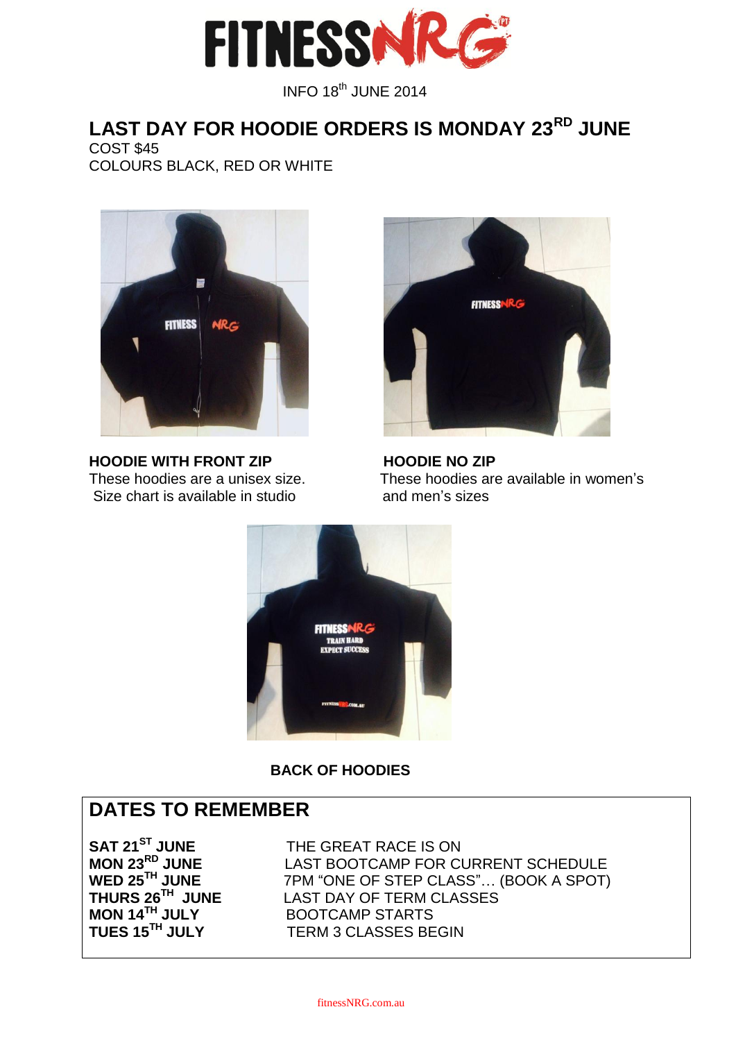

INFO 18<sup>th</sup> JUNE 2014

### **LAST DAY FOR HOODIE ORDERS IS MONDAY 23RD JUNE** COST \$45 COLOURS BLACK, RED OR WHITE



**HOODIE WITH FRONT ZIP HOODIE NO ZIP** Size chart is available in studio and men's sizes



These hoodies are a unisex size. These hoodies are available in women's



 **BACK OF HOODIES**

## **DATES TO REMEMBER**

**THURS 26**

**SAT 21<sup>ST</sup> JUNE** THE GREAT RACE IS ON **MON 23<sup>RD</sup> JUNE** LAST BOOTCAMP FOR CI **MON 23<sup>RD</sup> JUNE** LAST BOOTCAMP FOR CURRENT SCHEDULE<br>WED 25<sup>TH</sup> JUNE 7PM "ONE OF STEP CLASS"... (BOOK A SPOT) **7PM "ONE OF STEP CLASS"... (BOOK A SPOT) LAST DAY OF TERM CLASSES MON 14TH JULY** BOOTCAMP STARTS **TERM 3 CLASSES BEGIN**